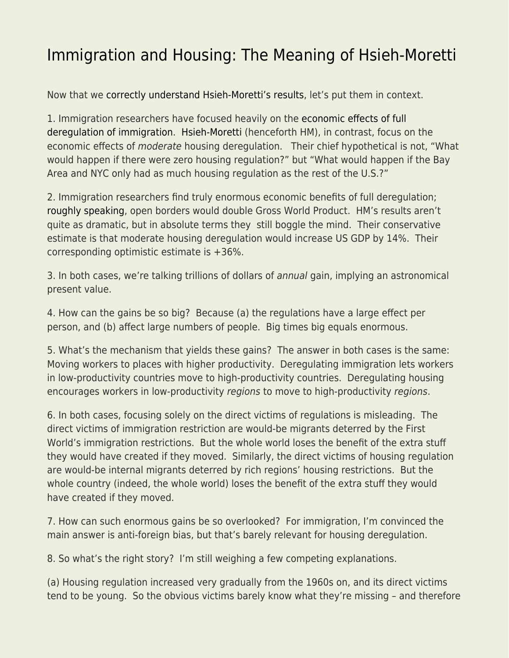## [Immigration and Housing: The Meaning of Hsieh-Moretti](https://everything-voluntary.com/immigration-and-housing-the-meaning-of-hsieh-moretti)

Now that we [correctly understand Hsieh-Moretti's results,](https://www.econlib.org/a-correction-on-housing-regulation/) let's put them in context.

1. Immigration researchers have focused heavily on the [economic effects of full](http://smbc-comics.com/openborders/) [deregulation of immigration](http://smbc-comics.com/openborders/). [Hsieh-Moretti](https://www.aeaweb.org/articles/pdf/doi/10.1257/mac.20170388) (henceforth HM), in contrast, focus on the economic effects of moderate housing deregulation. Their chief hypothetical is not, "What would happen if there were zero housing regulation?" but "What would happen if the Bay Area and NYC only had as much housing regulation as the rest of the U.S.?"

2. Immigration researchers find truly enormous economic benefits of full deregulation; [roughly speaking,](https://www.aeaweb.org/articles/pdf/doi/10.1257/jep.25.3.83) open borders would double Gross World Product. HM's results aren't quite as dramatic, but in absolute terms they still boggle the mind. Their conservative estimate is that moderate housing deregulation would increase US GDP by 14%. Their corresponding optimistic estimate is +36%.

3. In both cases, we're talking trillions of dollars of annual gain, implying an astronomical present value.

4. How can the gains be so big? Because (a) the regulations have a large effect per person, and (b) affect large numbers of people. Big times big equals enormous.

5. What's the mechanism that yields these gains? The answer in both cases is the same: Moving workers to places with higher productivity. Deregulating immigration lets workers in low-productivity countries move to high-productivity countries. Deregulating housing encourages workers in low-productivity regions to move to high-productivity regions.

6. In both cases, focusing solely on the direct victims of regulations is misleading. The direct victims of immigration restriction are would-be migrants deterred by the First World's immigration restrictions. But the whole world loses the benefit of the extra stuff they would have created if they moved. Similarly, the direct victims of housing regulation are would-be internal migrants deterred by rich regions' housing restrictions. But the whole country (indeed, the whole world) loses the benefit of the extra stuff they would have created if they moved.

7. How can such enormous gains be so overlooked? For immigration, I'm convinced the main answer is anti-foreign bias, but that's barely relevant for housing deregulation.

8. So what's the right story? I'm still weighing a few competing explanations.

(a) Housing regulation increased very gradually from the 1960s on, and its direct victims tend to be young. So the obvious victims barely know what they're missing – and therefore